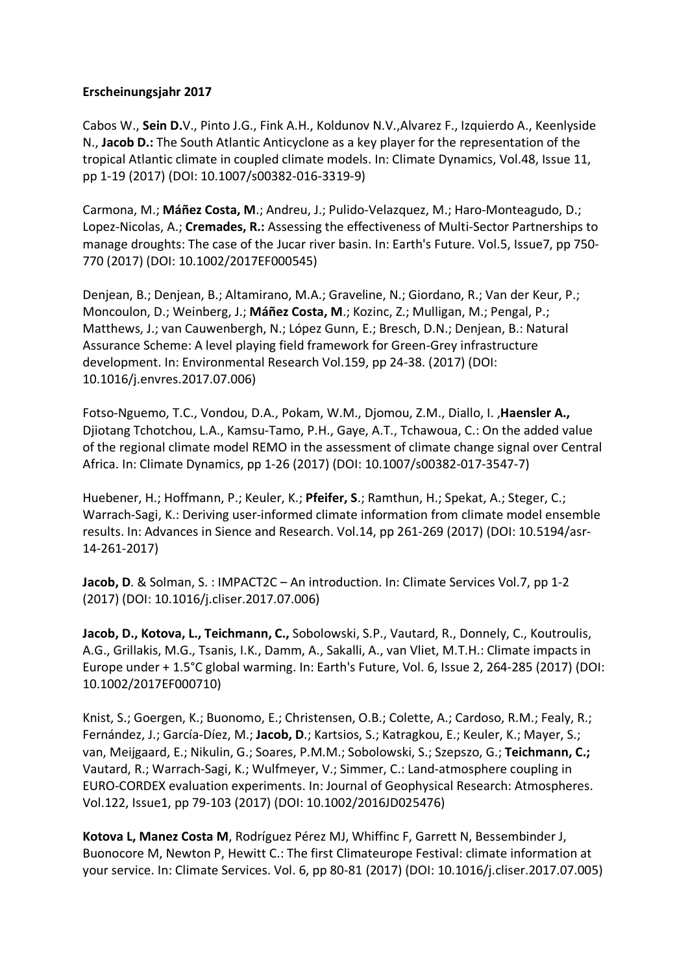## **Erscheinungsjahr 2017**

Cabos W., **Sein D.**V., Pinto J.G., Fink A.H., Koldunov N.V.,Alvarez F., Izquierdo A., Keenlyside N., **Jacob D.:** The South Atlantic Anticyclone as a key player for the representation of the tropical Atlantic climate in coupled climate models. In: Climate Dynamics, Vol.48, Issue 11, pp 1-19 (2017) (DOI: 10.1007/s00382-016-3319-9)

Carmona, M.; **Máñez Costa, M**.; Andreu, J.; Pulido-Velazquez, M.; Haro-Monteagudo, D.; Lopez-Nicolas, A.; **Cremades, R.:** Assessing the effectiveness of Multi-Sector Partnerships to manage droughts: The case of the Jucar river basin. In: Earth's Future. Vol.5, Issue7, pp 750- 770 (2017) (DOI: 10.1002/2017EF000545)

Denjean, B.; Denjean, B.; Altamirano, M.A.; Graveline, N.; Giordano, R.; Van der Keur, P.; Moncoulon, D.; Weinberg, J.; **Máñez Costa, M**.; Kozinc, Z.; Mulligan, M.; Pengal, P.; Matthews, J.; van Cauwenbergh, N.; López Gunn, E.; Bresch, D.N.; Denjean, B.: Natural Assurance Scheme: A level playing field framework for Green-Grey infrastructure development. In: Environmental Research Vol.159, pp 24-38. (2017) (DOI: 10.1016/j.envres.2017.07.006)

Fotso-Nguemo, T.C., Vondou, D.A., Pokam, W.M., Djomou, Z.M., Diallo, I. ,**Haensler A.,** Djiotang Tchotchou, L.A., Kamsu-Tamo, P.H., Gaye, A.T., Tchawoua, C.: On the added value of the regional climate model REMO in the assessment of climate change signal over Central Africa. In: Climate Dynamics, pp 1-26 (2017) (DOI: 10.1007/s00382-017-3547-7)

Huebener, H.; Hoffmann, P.; Keuler, K.; **Pfeifer, S**.; Ramthun, H.; Spekat, A.; Steger, C.; Warrach-Sagi, K.: Deriving user-informed climate information from climate model ensemble results. In: Advances in Sience and Research. Vol.14, pp 261-269 (2017) (DOI: 10.5194/asr-14-261-2017)

**Jacob, D**. & Solman, S. : IMPACT2C – An introduction. In: Climate Services Vol.7, pp 1-2 (2017) (DOI: 10.1016/j.cliser.2017.07.006)

**Jacob, D., Kotova, L., Teichmann, C.,** Sobolowski, S.P., Vautard, R., Donnely, C., Koutroulis, A.G., Grillakis, M.G., Tsanis, I.K., Damm, A., Sakalli, A., van Vliet, M.T.H.: Climate impacts in Europe under + 1.5°C global warming. In: Earth's Future, Vol. 6, Issue 2, 264-285 (2017) (DOI: 10.1002/2017EF000710)

Knist, S.; Goergen, K.; Buonomo, E.; Christensen, O.B.; Colette, A.; Cardoso, R.M.; Fealy, R.; Fernández, J.; García-Díez, M.; **Jacob, D**.; Kartsios, S.; Katragkou, E.; Keuler, K.; Mayer, S.; van, Meijgaard, E.; Nikulin, G.; Soares, P.M.M.; Sobolowski, S.; Szepszo, G.; **Teichmann, C.;** Vautard, R.; Warrach-Sagi, K.; Wulfmeyer, V.; Simmer, C.: Land-atmosphere coupling in EURO-CORDEX evaluation experiments. In: Journal of Geophysical Research: Atmospheres. Vol.122, Issue1, pp 79-103 (2017) (DOI: 10.1002/2016JD025476)

**Kotova L, Manez Costa M**, Rodríguez Pérez MJ, Whiffinc F, Garrett N, Bessembinder J, Buonocore M, Newton P, Hewitt C.: The first Climateurope Festival: climate information at your service. In: Climate Services. Vol. 6, pp 80-81 (2017) (DOI: 10.1016/j.cliser.2017.07.005)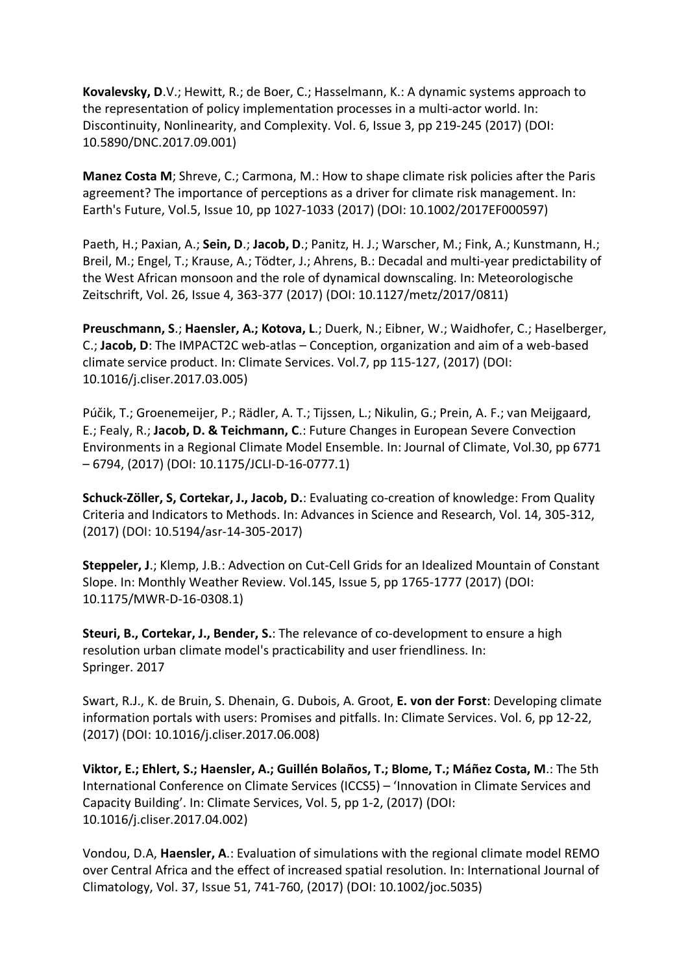**Kovalevsky, D**.V.; Hewitt, R.; de Boer, C.; Hasselmann, K.: A dynamic systems approach to the representation of policy implementation processes in a multi-actor world. In: Discontinuity, Nonlinearity, and Complexity. Vol. 6, Issue 3, pp 219-245 (2017) (DOI: 10.5890/DNC.2017.09.001)

**Manez Costa M**; Shreve, C.; Carmona, M.: How to shape climate risk policies after the Paris agreement? The importance of perceptions as a driver for climate risk management. In: Earth's Future, Vol.5, Issue 10, pp 1027-1033 (2017) (DOI: 10.1002/2017EF000597)

Paeth, H.; Paxian, A.; **Sein, D**.; **Jacob, D**.; Panitz, H. J.; Warscher, M.; Fink, A.; Kunstmann, H.; Breil, M.; Engel, T.; Krause, A.; Tödter, J.; Ahrens, B.: Decadal and multi-year predictability of the West African monsoon and the role of dynamical downscaling. In: Meteorologische Zeitschrift, Vol. 26, Issue 4, 363-377 (2017) (DOI: 10.1127/metz/2017/0811)

**Preuschmann, S**.; **Haensler, A.; Kotova, L**.; Duerk, N.; Eibner, W.; Waidhofer, C.; Haselberger, C.; **Jacob, D**: The IMPACT2C web-atlas – Conception, organization and aim of a web-based climate service product. In: Climate Services. Vol.7, pp 115-127, (2017) (DOI: 10.1016/j.cliser.2017.03.005)

Púčik, T.; Groenemeijer, P.; Rädler, A. T.; Tijssen, L.; Nikulin, G.; Prein, A. F.; van Meijgaard, E.; Fealy, R.; **Jacob, D. & Teichmann, C**.: Future Changes in European Severe Convection Environments in a Regional Climate Model Ensemble. In: Journal of Climate, Vol.30, pp 6771 – 6794, (2017) (DOI: 10.1175/JCLI-D-16-0777.1)

**Schuck-Zöller, S, Cortekar, J., Jacob, D.**: Evaluating co-creation of knowledge: From Quality Criteria and Indicators to Methods. In: Advances in Science and Research, Vol. 14, 305-312, (2017) (DOI: 10.5194/asr-14-305-2017)

**Steppeler, J**.; Klemp, J.B.: Advection on Cut-Cell Grids for an Idealized Mountain of Constant Slope. In: Monthly Weather Review. Vol.145, Issue 5, pp 1765-1777 (2017) (DOI: 10.1175/MWR-D-16-0308.1)

**Steuri, B., Cortekar, J., Bender, S.**: The relevance of co-development to ensure a high resolution urban climate model's practicability and user friendliness. In: Springer. 2017

Swart, R.J., K. de Bruin, S. Dhenain, G. Dubois, A. Groot, **E. von der Forst**: Developing climate information portals with users: Promises and pitfalls. In: Climate Services. Vol. 6, pp 12-22, (2017) (DOI: 10.1016/j.cliser.2017.06.008)

**Viktor, E.; Ehlert, S.; Haensler, A.; Guillén Bolaños, T.; Blome, T.; Máñez Costa, M**.: The 5th International Conference on Climate Services (ICCS5) – 'Innovation in Climate Services and Capacity Building'. In: Climate Services, Vol. 5, pp 1-2, (2017) (DOI: 10.1016/j.cliser.2017.04.002)

Vondou, D.A, **Haensler, A**.: Evaluation of simulations with the regional climate model REMO over Central Africa and the effect of increased spatial resolution. In: International Journal of Climatology, Vol. 37, Issue 51, 741-760, (2017) (DOI: 10.1002/joc.5035)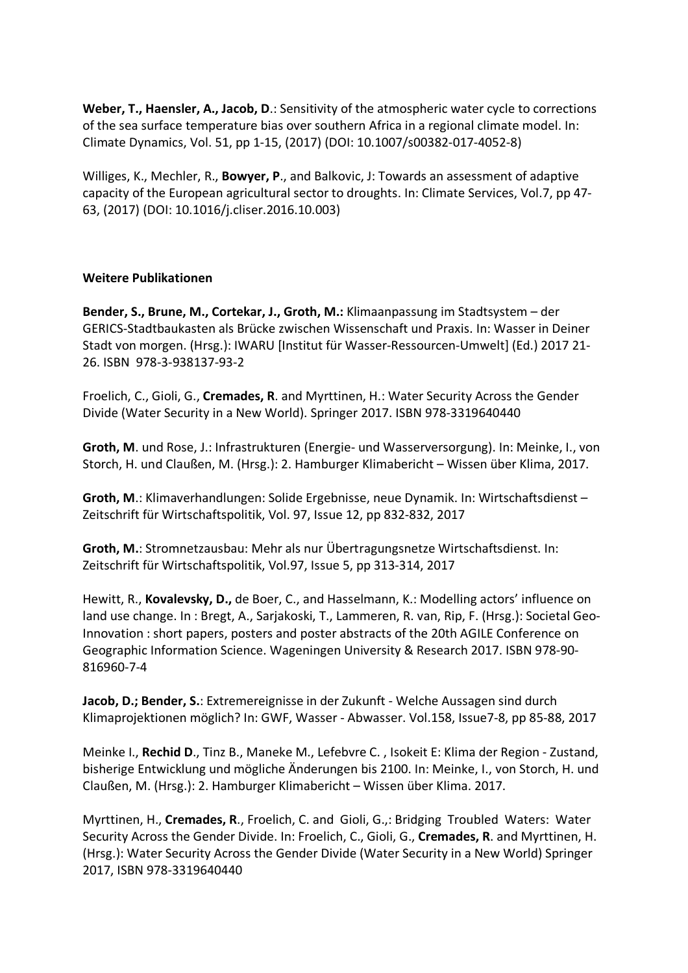**Weber, T., Haensler, A., Jacob, D**.: Sensitivity of the atmospheric water cycle to corrections of the sea surface temperature bias over southern Africa in a regional climate model. In: Climate Dynamics, Vol. 51, pp 1-15, (2017) (DOI: 10.1007/s00382-017-4052-8)

Williges, K., Mechler, R., **Bowyer, P**., and Balkovic, J: Towards an assessment of adaptive capacity of the European agricultural sector to droughts. In: Climate Services, Vol.7, pp 47- 63, (2017) (DOI: 10.1016/j.cliser.2016.10.003)

## **Weitere Publikationen**

**Bender, S., Brune, M., Cortekar, J., Groth, M.:** Klimaanpassung im Stadtsystem – der GERICS-Stadtbaukasten als Brücke zwischen Wissenschaft und Praxis. In: Wasser in Deiner Stadt von morgen. (Hrsg.): IWARU [Institut für Wasser-Ressourcen-Umwelt] (Ed.) 2017 21- 26. ISBN 978-3-938137-93-2

Froelich, C., Gioli, G., **Cremades, R**. and Myrttinen, H.: Water Security Across the Gender Divide (Water Security in a New World). Springer 2017. ISBN 978-3319640440

**Groth, M**. und Rose, J.: Infrastrukturen (Energie- und Wasserversorgung). In: Meinke, I., von Storch, H. und Claußen, M. (Hrsg.): 2. Hamburger Klimabericht – Wissen über Klima, 2017.

**Groth, M**.: Klimaverhandlungen: Solide Ergebnisse, neue Dynamik. In: Wirtschaftsdienst – Zeitschrift für Wirtschaftspolitik, Vol. 97, Issue 12, pp 832-832, 2017

**Groth, M.**: Stromnetzausbau: Mehr als nur Übertragungsnetze Wirtschaftsdienst. In: Zeitschrift für Wirtschaftspolitik, Vol.97, Issue 5, pp 313-314, 2017

Hewitt, R., **Kovalevsky, D.,** de Boer, C., and Hasselmann, K.: Modelling actors' influence on land use change. In : Bregt, A., Sarjakoski, T., Lammeren, R. van, Rip, F. (Hrsg.): Societal Geo-Innovation : short papers, posters and poster abstracts of the 20th AGILE Conference on Geographic Information Science. Wageningen University & Research 2017. ISBN 978-90- 816960-7-4

**Jacob, D.; Bender, S.**: Extremereignisse in der Zukunft - Welche Aussagen sind durch Klimaprojektionen möglich? In: GWF, Wasser - Abwasser. Vol.158, Issue7-8, pp 85-88, 2017

Meinke I., **Rechid D**., Tinz B., Maneke M., Lefebvre C. , Isokeit E: Klima der Region - Zustand, bisherige Entwicklung und mögliche Änderungen bis 2100. In: Meinke, I., von Storch, H. und Claußen, M. (Hrsg.): 2. Hamburger Klimabericht – Wissen über Klima. 2017.

Myrttinen, H., **Cremades, R**., Froelich, C. and Gioli, G.,: Bridging Troubled Waters: Water Security Across the Gender Divide. In: Froelich, C., Gioli, G., **Cremades, R**. and Myrttinen, H. (Hrsg.): Water Security Across the Gender Divide (Water Security in a New World) Springer 2017, ISBN 978-3319640440